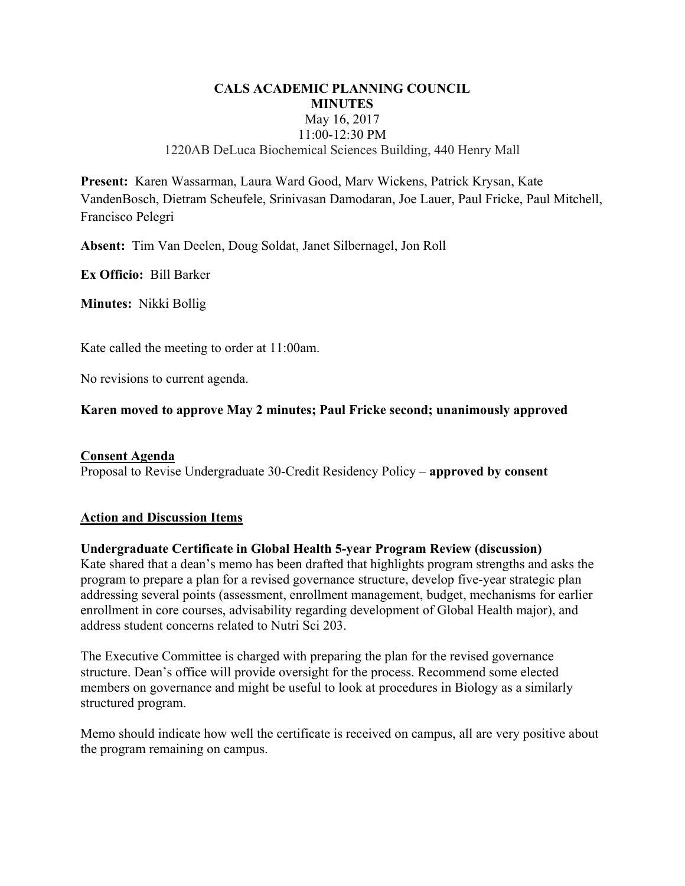## **CALS ACADEMIC PLANNING COUNCIL MINUTES**  May 16, 2017 11:00-12:30 PM 1220AB DeLuca Biochemical Sciences Building, 440 Henry Mall

**Present:** Karen Wassarman, Laura Ward Good, Marv Wickens, Patrick Krysan, Kate VandenBosch, Dietram Scheufele, Srinivasan Damodaran, Joe Lauer, Paul Fricke, Paul Mitchell, Francisco Pelegri

**Absent:** Tim Van Deelen, Doug Soldat, Janet Silbernagel, Jon Roll

**Ex Officio:** Bill Barker

**Minutes:** Nikki Bollig

Kate called the meeting to order at 11:00am.

No revisions to current agenda.

## **Karen moved to approve May 2 minutes; Paul Fricke second; unanimously approved**

## **Consent Agenda**

Proposal to Revise Undergraduate 30-Credit Residency Policy – **approved by consent**

## **Action and Discussion Items**

## **Undergraduate Certificate in Global Health 5-year Program Review (discussion)**

Kate shared that a dean's memo has been drafted that highlights program strengths and asks the program to prepare a plan for a revised governance structure, develop five-year strategic plan addressing several points (assessment, enrollment management, budget, mechanisms for earlier enrollment in core courses, advisability regarding development of Global Health major), and address student concerns related to Nutri Sci 203.

The Executive Committee is charged with preparing the plan for the revised governance structure. Dean's office will provide oversight for the process. Recommend some elected members on governance and might be useful to look at procedures in Biology as a similarly structured program.

Memo should indicate how well the certificate is received on campus, all are very positive about the program remaining on campus.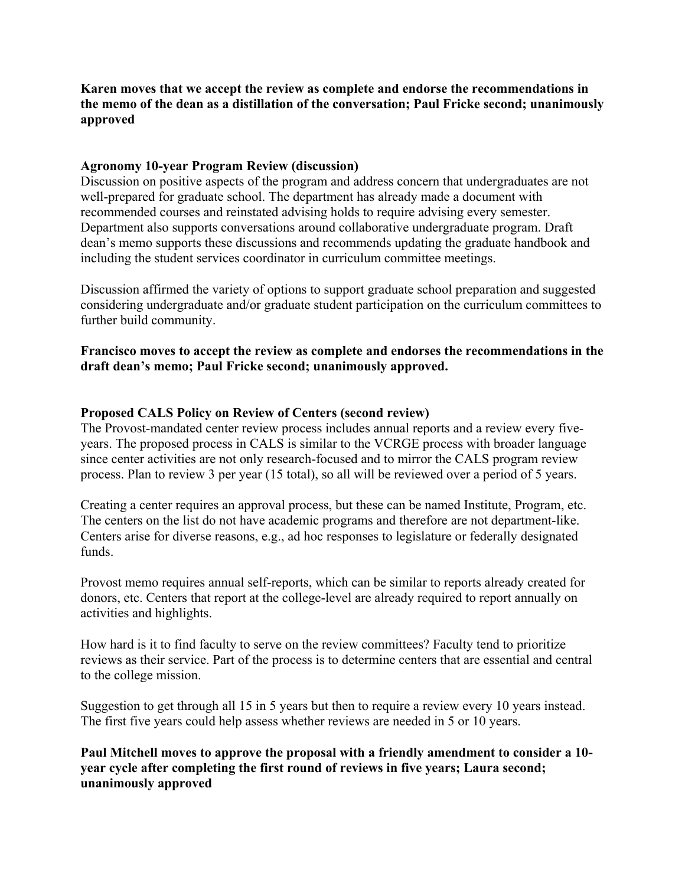**Karen moves that we accept the review as complete and endorse the recommendations in the memo of the dean as a distillation of the conversation; Paul Fricke second; unanimously approved** 

## **Agronomy 10-year Program Review (discussion)**

Discussion on positive aspects of the program and address concern that undergraduates are not well-prepared for graduate school. The department has already made a document with recommended courses and reinstated advising holds to require advising every semester. Department also supports conversations around collaborative undergraduate program. Draft dean's memo supports these discussions and recommends updating the graduate handbook and including the student services coordinator in curriculum committee meetings.

Discussion affirmed the variety of options to support graduate school preparation and suggested considering undergraduate and/or graduate student participation on the curriculum committees to further build community.

## **Francisco moves to accept the review as complete and endorses the recommendations in the draft dean's memo; Paul Fricke second; unanimously approved.**

# **Proposed CALS Policy on Review of Centers (second review)**

The Provost-mandated center review process includes annual reports and a review every fiveyears. The proposed process in CALS is similar to the VCRGE process with broader language since center activities are not only research-focused and to mirror the CALS program review process. Plan to review 3 per year (15 total), so all will be reviewed over a period of 5 years.

Creating a center requires an approval process, but these can be named Institute, Program, etc. The centers on the list do not have academic programs and therefore are not department-like. Centers arise for diverse reasons, e.g., ad hoc responses to legislature or federally designated funds.

Provost memo requires annual self-reports, which can be similar to reports already created for donors, etc. Centers that report at the college-level are already required to report annually on activities and highlights.

How hard is it to find faculty to serve on the review committees? Faculty tend to prioritize reviews as their service. Part of the process is to determine centers that are essential and central to the college mission.

Suggestion to get through all 15 in 5 years but then to require a review every 10 years instead. The first five years could help assess whether reviews are needed in 5 or 10 years.

**Paul Mitchell moves to approve the proposal with a friendly amendment to consider a 10 year cycle after completing the first round of reviews in five years; Laura second; unanimously approved**